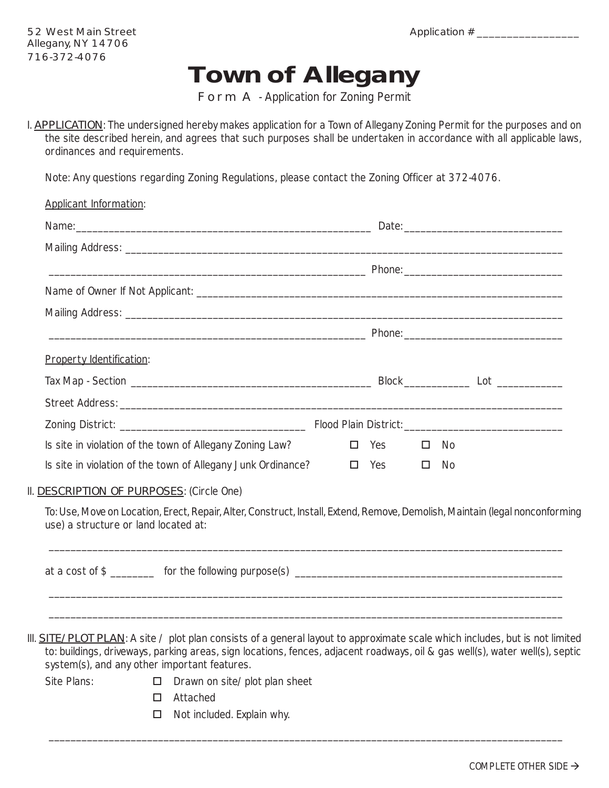## **Town of Allegany**

Form A - Application for Zoning Permit

I. **APPLICATION**: The undersigned hereby makes application for a Town of Allegany Zoning Permit for the purposes and on the site described herein, and agrees that such purposes shall be undertaken in accordance with all applicable laws, ordinances and requirements.

Note: Any questions regarding Zoning Regulations, please contact the Zoning Officer at 372-4076.

| Applicant Information:                                                                                                                                                                                                                                               |            |              |  |
|----------------------------------------------------------------------------------------------------------------------------------------------------------------------------------------------------------------------------------------------------------------------|------------|--------------|--|
|                                                                                                                                                                                                                                                                      |            |              |  |
|                                                                                                                                                                                                                                                                      |            |              |  |
|                                                                                                                                                                                                                                                                      |            |              |  |
|                                                                                                                                                                                                                                                                      |            |              |  |
|                                                                                                                                                                                                                                                                      |            |              |  |
|                                                                                                                                                                                                                                                                      |            |              |  |
| <b>Property Identification:</b>                                                                                                                                                                                                                                      |            |              |  |
|                                                                                                                                                                                                                                                                      |            |              |  |
|                                                                                                                                                                                                                                                                      |            |              |  |
|                                                                                                                                                                                                                                                                      |            |              |  |
| Is site in violation of the town of Allegany Zoning Law?                                                                                                                                                                                                             | $\Box$ Yes | $\square$ No |  |
| Is site in violation of the town of Allegany Junk Ordinance?                                                                                                                                                                                                         | $\Box$ Yes | $\square$ No |  |
| II. DESCRIPTION OF PURPOSES: (Circle One)                                                                                                                                                                                                                            |            |              |  |
| To: Use, Move on Location, Erect, Repair, Alter, Construct, Install, Extend, Remove, Demolish, Maintain (legal nonconforming<br>use) a structure or land located at:                                                                                                 |            |              |  |
| at a cost of \$                                                                                                                                                                                                                                                      |            |              |  |
|                                                                                                                                                                                                                                                                      |            |              |  |
| III. <b>SITE/PLOT PLAN</b> : A site / plot plan consists of a general layout to approximate scale which includes, but is not limited<br>to: buildings, driveways, parking areas, sign locations, fences, adjacent roadways, oil & gas well(s), water well(s), septic |            |              |  |
| system(s), and any other important features.                                                                                                                                                                                                                         |            |              |  |

\_\_\_\_\_\_\_\_\_\_\_\_\_\_\_\_\_\_\_\_\_\_\_\_\_\_\_\_\_\_\_\_\_\_\_\_\_\_\_\_\_\_\_\_\_\_\_\_\_\_\_\_\_\_\_\_\_\_\_\_\_\_\_\_\_\_\_\_\_\_\_\_\_\_\_\_\_\_\_\_\_\_\_\_\_\_\_\_\_\_\_\_\_\_

- 
- Site Plans:  $\Box$  Drawn on site/plot plan sheet
	- □ Attached
	- $\Box$  Not included. Explain why.